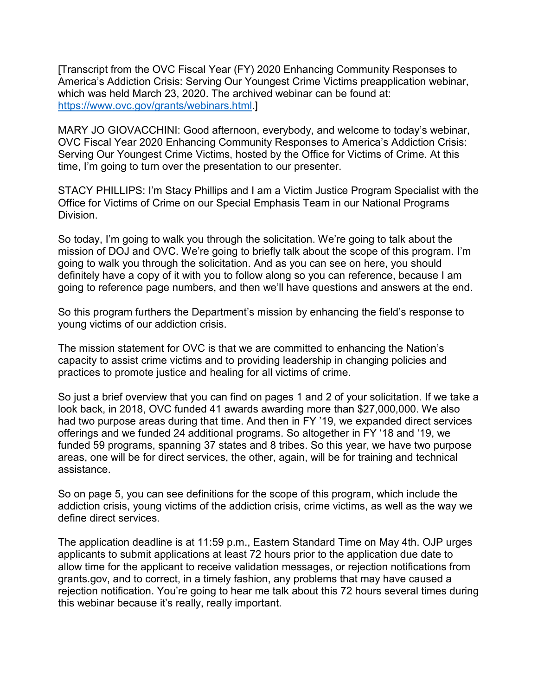which was held March 23, 2020. The archived webinar can be found at: [Transcript from the OVC Fiscal Year (FY) 2020 Enhancing Community Responses to America's Addiction Crisis: Serving Our Youngest Crime Victims preapplication webinar, [https://www.ovc.gov/grants/webinars.html.](https://www.ovc.gov/grants/webinars.html)]

MARY JO GIOVACCHINI: Good afternoon, everybody, and welcome to today's webinar, OVC Fiscal Year 2020 Enhancing Community Responses to America's Addiction Crisis: Serving Our Youngest Crime Victims, hosted by the Office for Victims of Crime. At this time, I'm going to turn over the presentation to our presenter.

 STACY PHILLIPS: I'm Stacy Phillips and I am a Victim Justice Program Specialist with the Office for Victims of Crime on our Special Emphasis Team in our National Programs Division.

 mission of DOJ and OVC. We're going to briefly talk about the scope of this program. I'm So today, I'm going to walk you through the solicitation. We're going to talk about the going to walk you through the solicitation. And as you can see on here, you should definitely have a copy of it with you to follow along so you can reference, because I am going to reference page numbers, and then we'll have questions and answers at the end.

 So this program furthers the Department's mission by enhancing the field's response to young victims of our addiction crisis.

 practices to promote justice and healing for all victims of crime. The mission statement for OVC is that we are committed to enhancing the Nation's capacity to assist crime victims and to providing leadership in changing policies and

 look back, in 2018, OVC funded 41 awards awarding more than \$27,000,000. We also offerings and we funded 24 additional programs. So altogether in FY '18 and '19, we So just a brief overview that you can find on pages 1 and 2 of your solicitation. If we take a had two purpose areas during that time. And then in FY '19, we expanded direct services funded 59 programs, spanning 37 states and 8 tribes. So this year, we have two purpose areas, one will be for direct services, the other, again, will be for training and technical assistance.

So on page 5, you can see definitions for the scope of this program, which include the addiction crisis, young victims of the addiction crisis, crime victims, as well as the way we define direct services.

 allow time for the applicant to receive validation messages, or rejection notifications from rejection notification. You're going to hear me talk about this 72 hours several times during The application deadline is at 11:59 p.m., Eastern Standard Time on May 4th. OJP urges applicants to submit applications at least 72 hours prior to the application due date to [grants.gov,](https://grants.gov) and to correct, in a timely fashion, any problems that may have caused a this webinar because it's really, really important.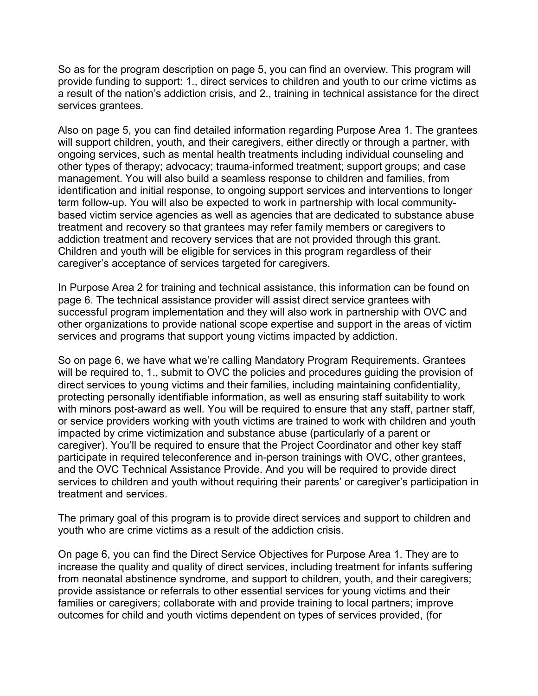So as for the program description on page 5, you can find an overview. This program will provide funding to support: 1., direct services to children and youth to our crime victims as a result of the nation's addiction crisis, and 2., training in technical assistance for the direct services grantees.

 Also on page 5, you can find detailed information regarding Purpose Area 1. The grantees other types of therapy; advocacy; trauma-informed treatment; support groups; and case management. You will also build a seamless response to children and families, from treatment and recovery so that grantees may refer family members or caregivers to will support children, youth, and their caregivers, either directly or through a partner, with ongoing services, such as mental health treatments including individual counseling and identification and initial response, to ongoing support services and interventions to longer term follow-up. You will also be expected to work in partnership with local communitybased victim service agencies as well as agencies that are dedicated to substance abuse addiction treatment and recovery services that are not provided through this grant. Children and youth will be eligible for services in this program regardless of their caregiver's acceptance of services targeted for caregivers.

 In Purpose Area 2 for training and technical assistance, this information can be found on page 6. The technical assistance provider will assist direct service grantees with successful program implementation and they will also work in partnership with OVC and other organizations to provide national scope expertise and support in the areas of victim services and programs that support young victims impacted by addiction.

 with minors post-award as well. You will be required to ensure that any staff, partner staff, impacted by crime victimization and substance abuse (particularly of a parent or and the OVC Technical Assistance Provide. And you will be required to provide direct So on page 6, we have what we're calling Mandatory Program Requirements. Grantees will be required to, 1., submit to OVC the policies and procedures guiding the provision of direct services to young victims and their families, including maintaining confidentiality, protecting personally identifiable information, as well as ensuring staff suitability to work or service providers working with youth victims are trained to work with children and youth caregiver). You'll be required to ensure that the Project Coordinator and other key staff participate in required teleconference and in-person trainings with OVC, other grantees, services to children and youth without requiring their parents' or caregiver's participation in treatment and services.

The primary goal of this program is to provide direct services and support to children and youth who are crime victims as a result of the addiction crisis.

On page 6, you can find the Direct Service Objectives for Purpose Area 1. They are to increase the quality and quality of direct services, including treatment for infants suffering from neonatal abstinence syndrome, and support to children, youth, and their caregivers; provide assistance or referrals to other essential services for young victims and their families or caregivers; collaborate with and provide training to local partners; improve outcomes for child and youth victims dependent on types of services provided, (for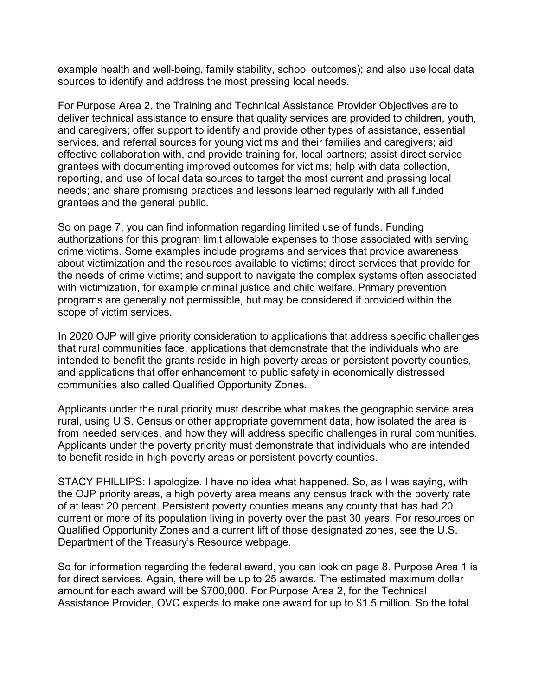example health and well-being, family stability, school outcomes); and also use local data sources to identify and address the most pressing local needs.

 services, and referral sources for young victims and their families and caregivers; aid grantees and the general public. For Purpose Area 2, the Training and Technical Assistance Provider Objectives are to deliver technical assistance to ensure that quality services are provided to children, youth, and caregivers; offer support to identify and provide other types of assistance, essential effective collaboration with, and provide training for, local partners; assist direct service grantees with documenting improved outcomes for victims; help with data collection, reporting, and use of local data sources to target the most current and pressing local needs; and share promising practices and lessons learned regularly with all funded

grantees and the general public.<br>So on page 7, you can find information regarding limited use of funds. Funding authorizations for this program limit allowable expenses to those associated with serving crime victims. Some examples include programs and services that provide awareness about victimization and the resources available to victims; direct services that provide for the needs of crime victims; and support to navigate the complex systems often associated with victimization, for example criminal justice and child welfare. Primary prevention programs are generally not permissible, but may be considered if provided within the scope of victim services.

 that rural communities face, applications that demonstrate that the individuals who are intended to benefit the grants reside in high-poverty areas or persistent poverty counties, In 2020 OJP will give priority consideration to applications that address specific challenges and applications that offer enhancement to public safety in economically distressed communities also called Qualified Opportunity Zones.

 Applicants under the poverty priority must demonstrate that individuals who are intended Applicants under the rural priority must describe what makes the geographic service area rural, using U.S. Census or other appropriate government data, how isolated the area is from needed services, and how they will address specific challenges in rural communities. to benefit reside in high-poverty areas or persistent poverty counties.

 the OJP priority areas, a high poverty area means any census track with the poverty rate STACY PHILLIPS: I apologize. I have no idea what happened. So, as I was saying, with of at least 20 percent. Persistent poverty counties means any county that has had 20 current or more of its population living in poverty over the past 30 years. For resources on Qualified Opportunity Zones and a current lift of those designated zones, see the U.S. Department of the Treasury's Resource webpage.

 So for information regarding the federal award, you can look on page 8. Purpose Area 1 is for direct services. Again, there will be up to 25 awards. The estimated maximum dollar amount for each award will be \$700,000. For Purpose Area 2, for the Technical Assistance Provider, OVC expects to make one award for up to \$1.5 million. So the total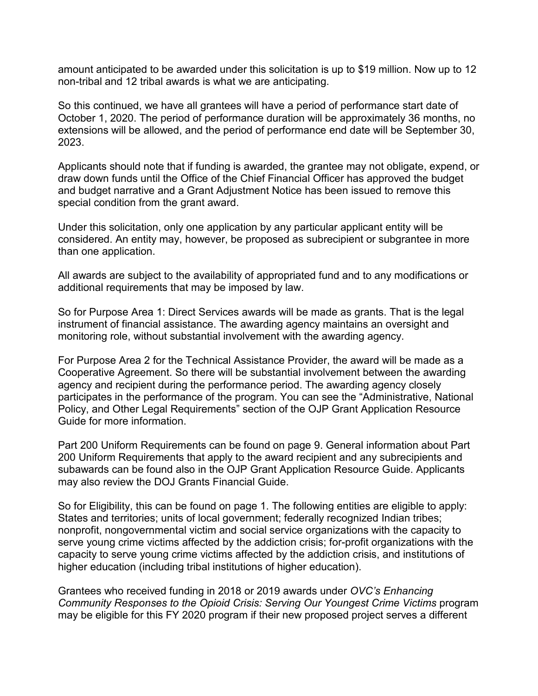amount anticipated to be awarded under this solicitation is up to \$19 million. Now up to 12 non-tribal and 12 tribal awards is what we are anticipating.

 extensions will be allowed, and the period of performance end date will be September 30, So this continued, we have all grantees will have a period of performance start date of October 1, 2020. The period of performance duration will be approximately 36 months, no 2023.

 special condition from the grant award. Applicants should note that if funding is awarded, the grantee may not obligate, expend, or draw down funds until the Office of the Chief Financial Officer has approved the budget and budget narrative and a Grant Adjustment Notice has been issued to remove this

Under this solicitation, only one application by any particular applicant entity will be considered. An entity may, however, be proposed as subrecipient or subgrantee in more than one application.

All awards are subject to the availability of appropriated fund and to any modifications or additional requirements that may be imposed by law.

 instrument of financial assistance. The awarding agency maintains an oversight and So for Purpose Area 1: Direct Services awards will be made as grants. That is the legal monitoring role, without substantial involvement with the awarding agency.

For Purpose Area 2 for the Technical Assistance Provider, the award will be made as a Cooperative Agreement. So there will be substantial involvement between the awarding agency and recipient during the performance period. The awarding agency closely participates in the performance of the program. You can see the "Administrative, National Policy, and Other Legal Requirements" section of the OJP Grant Application Resource Guide for more information.

 Part 200 Uniform Requirements can be found on page 9. General information about Part 200 Uniform Requirements that apply to the award recipient and any subrecipients and subawards can be found also in the OJP Grant Application Resource Guide. Applicants may also review the DOJ Grants Financial Guide.

 capacity to serve young crime victims affected by the addiction crisis, and institutions of higher education (including tribal institutions of higher education). So for Eligibility, this can be found on page 1. The following entities are eligible to apply: States and territories; units of local government; federally recognized Indian tribes; nonprofit, nongovernmental victim and social service organizations with the capacity to serve young crime victims affected by the addiction crisis; for-profit organizations with the

Grantees who received funding in 2018 or 2019 awards under *OVC's Enhancing Community Responses to the Opioid Crisis: Serving Our Youngest Crime Victims* program may be eligible for this FY 2020 program if their new proposed project serves a different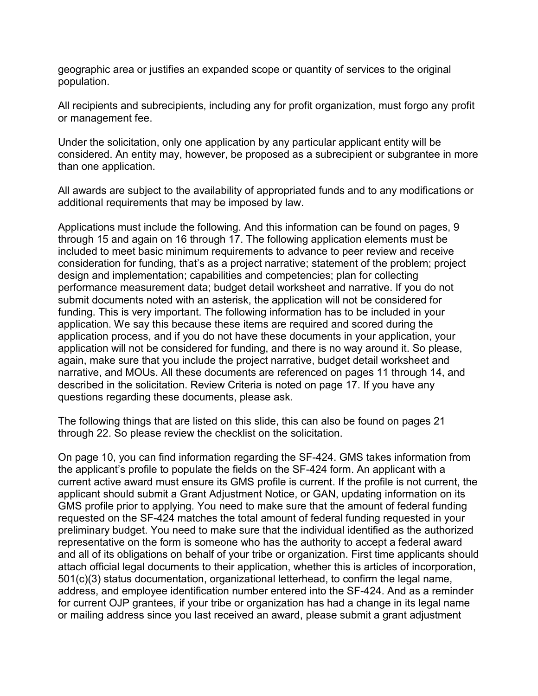geographic area or justifies an expanded scope or quantity of services to the original population.

 All recipients and subrecipients, including any for profit organization, must forgo any profit or management fee.

 Under the solicitation, only one application by any particular applicant entity will be considered. An entity may, however, be proposed as a subrecipient or subgrantee in more than one application.

 All awards are subject to the availability of appropriated funds and to any modifications or additional requirements that may be imposed by law.

 included to meet basic minimum requirements to advance to peer review and receive design and implementation; capabilities and competencies; plan for collecting narrative, and MOUs. All these documents are referenced on pages 11 through 14, and Applications must include the following. And this information can be found on pages, 9 through 15 and again on 16 through 17. The following application elements must be consideration for funding, that's as a project narrative; statement of the problem; project performance measurement data; budget detail worksheet and narrative. If you do not submit documents noted with an asterisk, the application will not be considered for funding. This is very important. The following information has to be included in your application. We say this because these items are required and scored during the application process, and if you do not have these documents in your application, your application will not be considered for funding, and there is no way around it. So please, again, make sure that you include the project narrative, budget detail worksheet and described in the solicitation. Review Criteria is noted on page 17. If you have any questions regarding these documents, please ask.

 The following things that are listed on this slide, this can also be found on pages 21 through 22. So please review the checklist on the solicitation.

 GMS profile prior to applying. You need to make sure that the amount of federal funding requested on the SF-424 matches the total amount of federal funding requested in your representative on the form is someone who has the authority to accept a federal award On page 10, you can find information regarding the SF-424. GMS takes information from the applicant's profile to populate the fields on the SF-424 form. An applicant with a current active award must ensure its GMS profile is current. If the profile is not current, the applicant should submit a Grant Adjustment Notice, or GAN, updating information on its preliminary budget. You need to make sure that the individual identified as the authorized and all of its obligations on behalf of your tribe or organization. First time applicants should attach official legal documents to their application, whether this is articles of incorporation, 501(c)(3) status documentation, organizational letterhead, to confirm the legal name, address, and employee identification number entered into the SF-424. And as a reminder for current OJP grantees, if your tribe or organization has had a change in its legal name or mailing address since you last received an award, please submit a grant adjustment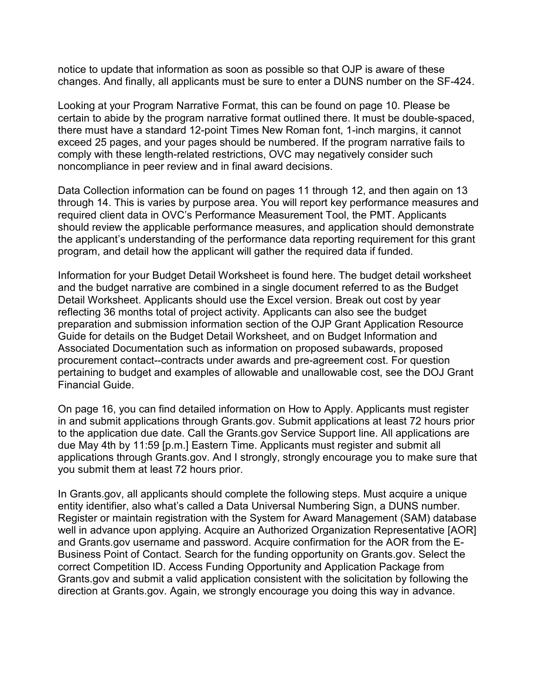notice to update that information as soon as possible so that OJP is aware of these changes. And finally, all applicants must be sure to enter a DUNS number on the SF-424.

 there must have a standard 12-point Times New Roman font, 1-inch margins, it cannot Looking at your Program Narrative Format, this can be found on page 10. Please be certain to abide by the program narrative format outlined there. It must be double-spaced, exceed 25 pages, and your pages should be numbered. If the program narrative fails to comply with these length-related restrictions, OVC may negatively consider such noncompliance in peer review and in final award decisions.

 Data Collection information can be found on pages 11 through 12, and then again on 13 through 14. This is varies by purpose area. You will report key performance measures and required client data in OVC's Performance Measurement Tool, the PMT. Applicants should review the applicable performance measures, and application should demonstrate the applicant's understanding of the performance data reporting requirement for this grant program, and detail how the applicant will gather the required data if funded.

 Information for your Budget Detail Worksheet is found here. The budget detail worksheet Detail Worksheet. Applicants should use the Excel version. Break out cost by year reflecting 36 months total of project activity. Applicants can also see the budget and the budget narrative are combined in a single document referred to as the Budget preparation and submission information section of the OJP Grant Application Resource Guide for details on the Budget Detail Worksheet, and on Budget Information and Associated Documentation such as information on proposed subawards, proposed procurement contact--contracts under awards and pre-agreement cost. For question pertaining to budget and examples of allowable and unallowable cost, see the DOJ Grant Financial Guide.

 On page 16, you can find detailed information on How to Apply. Applicants must register you submit them at least 72 hours prior. in and submit applications through [Grants.gov](https://Grants.gov). Submit applications at least 72 hours prior to the application due date. Call the [Grants.gov](https://Grants.gov) Service Support line. All applications are due May 4th by 11:59 [p.m.] Eastern Time. Applicants must register and submit all applications through [Grants.gov.](https://Grants.gov) And I strongly, strongly encourage you to make sure that

 Register or maintain registration with the System for Award Management (SAM) database well in advance upon applying. Acquire an Authorized Organization Representative [AOR] In [Grants.gov,](https://Grants.gov) all applicants should complete the following steps. Must acquire a unique entity identifier, also what's called a Data Universal Numbering Sign, a DUNS number. and [Grants.gov](https://Grants.gov) username and password. Acquire confirmation for the AOR from the E-Business Point of Contact. Search for the funding opportunity on [Grants.gov.](https://Grants.gov) Select the correct Competition ID. Access Funding Opportunity and Application Package from [Grants.gov](https://Grants.gov) and submit a valid application consistent with the solicitation by following the direction at [Grants.gov.](https://Grants.gov) Again, we strongly encourage you doing this way in advance.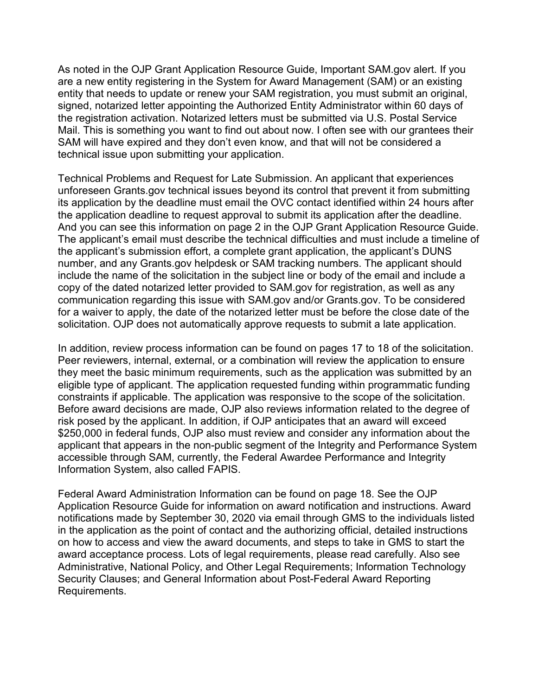are a new entity registering in the System for Award Management (SAM) or an existing entity that needs to update or renew your SAM registration, you must submit an original, As noted in the OJP Grant Application Resource Guide, Important SAM.gov alert. If you signed, notarized letter appointing the Authorized Entity Administrator within 60 days of the registration activation. Notarized letters must be submitted via U.S. Postal Service Mail. This is something you want to find out about now. I often see with our grantees their SAM will have expired and they don't even know, and that will not be considered a technical issue upon submitting your application.

 Technical Problems and Request for Late Submission. An applicant that experiences unforeseen [Grants.gov](https://Grants.gov) technical issues beyond its control that prevent it from submitting The applicant's email must describe the technical difficulties and must include a timeline of for a waiver to apply, the date of the notarized letter must be before the close date of the its application by the deadline must email the OVC contact identified within 24 hours after the application deadline to request approval to submit its application after the deadline. And you can see this information on page 2 in the OJP Grant Application Resource Guide. the applicant's submission effort, a complete grant application, the applicant's DUNS number, and any [Grants.gov](https://Grants.gov) helpdesk or SAM tracking numbers. The applicant should include the name of the solicitation in the subject line or body of the email and include a copy of the dated notarized letter provided to SAM.gov for registration, as well as any communication regarding this issue with SAM.gov and/or [Grants.gov](https://Grants.gov). To be considered solicitation. OJP does not automatically approve requests to submit a late application.

 eligible type of applicant. The application requested funding within programmatic funding \$250,000 in federal funds, OJP also must review and consider any information about the applicant that appears in the non-public segment of the Integrity and Performance System In addition, review process information can be found on pages 17 to 18 of the solicitation. Peer reviewers, internal, external, or a combination will review the application to ensure they meet the basic minimum requirements, such as the application was submitted by an constraints if applicable. The application was responsive to the scope of the solicitation. Before award decisions are made, OJP also reviews information related to the degree of risk posed by the applicant. In addition, if OJP anticipates that an award will exceed accessible through SAM, currently, the Federal Awardee Performance and Integrity Information System, also called FAPIS.

Federal Award Administration Information can be found on page 18. See the OJP Application Resource Guide for information on award notification and instructions. Award notifications made by September 30, 2020 via email through GMS to the individuals listed in the application as the point of contact and the authorizing official, detailed instructions on how to access and view the award documents, and steps to take in GMS to start the award acceptance process. Lots of legal requirements, please read carefully. Also see Administrative, National Policy, and Other Legal Requirements; Information Technology Security Clauses; and General Information about Post-Federal Award Reporting Requirements.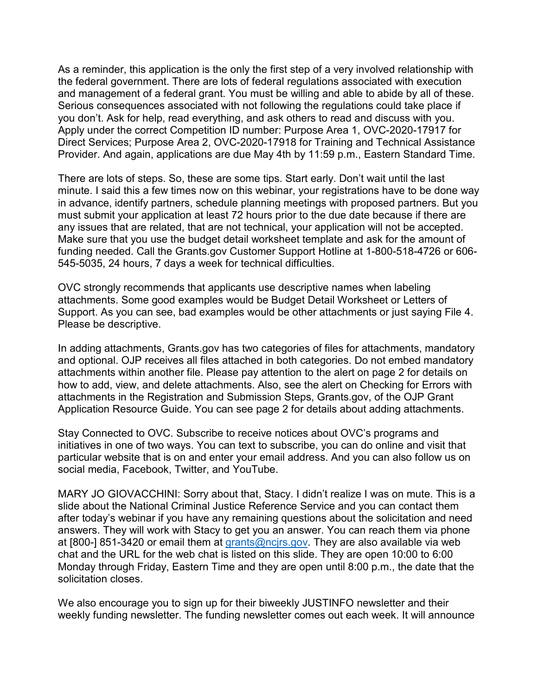Provider. And again, applications are due May 4th by 11:59 p.m., Eastern Standard Time. As a reminder, this application is the only the first step of a very involved relationship with the federal government. There are lots of federal regulations associated with execution and management of a federal grant. You must be willing and able to abide by all of these. Serious consequences associated with not following the regulations could take place if you don't. Ask for help, read everything, and ask others to read and discuss with you. Apply under the correct Competition ID number: Purpose Area 1, OVC-2020-17917 for Direct Services; Purpose Area 2, OVC-2020-17918 for Training and Technical Assistance

 minute. I said this a few times now on this webinar, your registrations have to be done way There are lots of steps. So, these are some tips. Start early. Don't wait until the last in advance, identify partners, schedule planning meetings with proposed partners. But you must submit your application at least 72 hours prior to the due date because if there are any issues that are related, that are not technical, your application will not be accepted. Make sure that you use the budget detail worksheet template and ask for the amount of funding needed. Call the [Grants.gov](https://Grants.gov) Customer Support Hotline at 1-800-518-4726 or 606- 545-5035, 24 hours, 7 days a week for technical difficulties.

OVC strongly recommends that applicants use descriptive names when labeling attachments. Some good examples would be Budget Detail Worksheet or Letters of Support. As you can see, bad examples would be other attachments or just saying File 4. Please be descriptive.

 In adding attachments, [Grants.gov](https://Grants.gov) has two categories of files for attachments, mandatory and optional. OJP receives all files attached in both categories. Do not embed mandatory attachments within another file. Please pay attention to the alert on page 2 for details on how to add, view, and delete attachments. Also, see the alert on Checking for Errors with attachments in the Registration and Submission Steps, [Grants.gov,](https://Grants.gov) of the OJP Grant Application Resource Guide. You can see page 2 for details about adding attachments.

Stay Connected to OVC. Subscribe to receive notices about OVC's programs and initiatives in one of two ways. You can text to subscribe, you can do online and visit that particular website that is on and enter your email address. And you can also follow us on social media, Facebook, Twitter, and YouTube.

 MARY JO GIOVACCHINI: Sorry about that, Stacy. I didn't realize I was on mute. This is a slide about the National Criminal Justice Reference Service and you can contact them after today's webinar if you have any remaining questions about the solicitation and need answers. They will work with Stacy to get you an answer. You can reach them via phone at [800-] 851-3420 or email them at [grants@ncjrs.gov.](mailto:grants@ncjrs.gov) They are also available via web chat and the URL for the web chat is listed on this slide. They are open 10:00 to 6:00 Monday through Friday, Eastern Time and they are open until 8:00 p.m., the date that the solicitation closes.

We also encourage you to sign up for their biweekly JUSTINFO newsletter and their weekly funding newsletter. The funding newsletter comes out each week. It will announce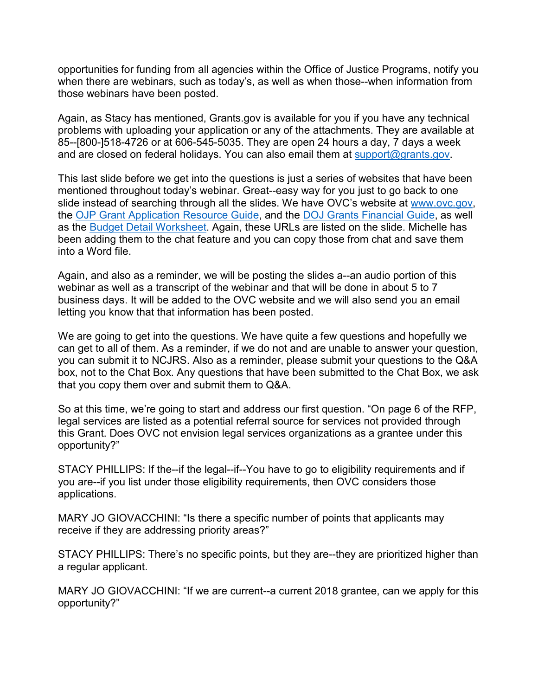opportunities for funding from all agencies within the Office of Justice Programs, notify you when there are webinars, such as today's, as well as when those--when information from those webinars have been posted.

 85--[800-]518-4726 or at 606-545-5035. They are open 24 hours a day, 7 days a week and are closed on federal holidays. You can also email them at <u>support@grants.gov</u>. Again, as Stacy has mentioned, [Grants.gov](https://Grants.gov) is available for you if you have any technical problems with uploading your application or any of the attachments. They are available at

slide instead of searching through all the slides. We have OVC's website at <u>www.ovc.gov,</u> been adding them to the chat feature and you can copy those from chat and save them This last slide before we get into the questions is just a series of websites that have been mentioned throughout today's webinar. Great--easy way for you just to go back to one the [OJP Grant Application Resource Guide,](https://www.ojp.gov/funding/Apply/Resources/Grant-App-Resource-Guide.htm) and the [DOJ Grants Financial Guide,](https://ojp.gov/financialguide/DOJ/index.htm) as well as the [Budget Detail Worksheet.](https://ojp.gov/funding/Apply/Forms/BudgetDetailWorksheet.htm) Again, these URLs are listed on the slide. Michelle has into a Word file.

 Again, and also as a reminder, we will be posting the slides a--an audio portion of this webinar as well as a transcript of the webinar and that will be done in about 5 to 7 business days. It will be added to the OVC website and we will also send you an email letting you know that that information has been posted.

 We are going to get into the questions. We have quite a few questions and hopefully we can get to all of them. As a reminder, if we do not and are unable to answer your question, you can submit it to NCJRS. Also as a reminder, please submit your questions to the Q&A box, not to the Chat Box. Any questions that have been submitted to the Chat Box, we ask that you copy them over and submit them to Q&A.

 this Grant. Does OVC not envision legal services organizations as a grantee under this So at this time, we're going to start and address our first question. "On page 6 of the RFP, legal services are listed as a potential referral source for services not provided through opportunity?"

STACY PHILLIPS: If the--if the legal--if--You have to go to eligibility requirements and if you are--if you list under those eligibility requirements, then OVC considers those applications.

 MARY JO GIOVACCHINI: "Is there a specific number of points that applicants may receive if they are addressing priority areas?"

STACY PHILLIPS: There's no specific points, but they are--they are prioritized higher than a regular applicant.

MARY JO GIOVACCHINI: "If we are current--a current 2018 grantee, can we apply for this opportunity?"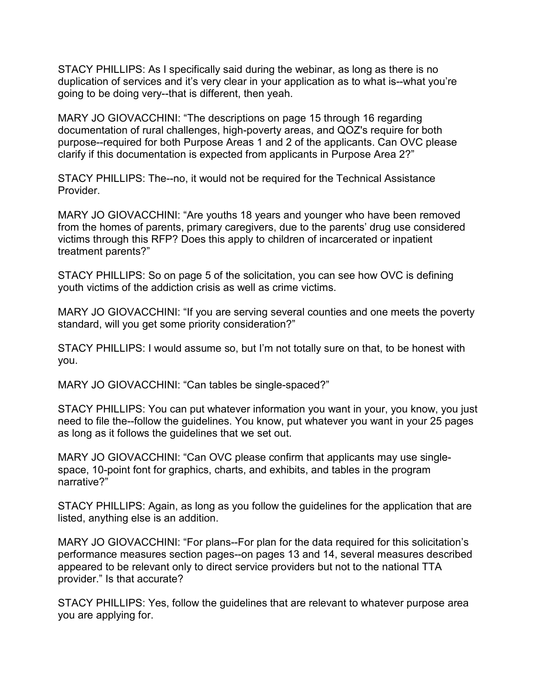STACY PHILLIPS: As I specifically said during the webinar, as long as there is no going to be doing very--that is different, then yeah. duplication of services and it's very clear in your application as to what is--what you're

 clarify if this documentation is expected from applicants in Purpose Area 2?" MARY JO GIOVACCHINI: "The descriptions on page 15 through 16 regarding documentation of rural challenges, high-poverty areas, and QOZ's require for both purpose--required for both Purpose Areas 1 and 2 of the applicants. Can OVC please

STACY PHILLIPS: The--no, it would not be required for the Technical Assistance Provider.

 victims through this RFP? Does this apply to children of incarcerated or inpatient MARY JO GIOVACCHINI: "Are youths 18 years and younger who have been removed from the homes of parents, primary caregivers, due to the parents' drug use considered treatment parents?"

 STACY PHILLIPS: So on page 5 of the solicitation, you can see how OVC is defining youth victims of the addiction crisis as well as crime victims.

MARY JO GIOVACCHINI: "If you are serving several counties and one meets the poverty standard, will you get some priority consideration?"

STACY PHILLIPS: I would assume so, but I'm not totally sure on that, to be honest with you.

MARY JO GIOVACCHINI: "Can tables be single-spaced?"

STACY PHILLIPS: You can put whatever information you want in your, you know, you just need to file the--follow the guidelines. You know, put whatever you want in your 25 pages as long as it follows the guidelines that we set out.

MARY JO GIOVACCHINI: "Can OVC please confirm that applicants may use singlespace, 10-point font for graphics, charts, and exhibits, and tables in the program narrative?"

STACY PHILLIPS: Again, as long as you follow the guidelines for the application that are listed, anything else is an addition.

 MARY JO GIOVACCHINI: "For plans--For plan for the data required for this solicitation's appeared to be relevant only to direct service providers but not to the national TTA performance measures section pages--on pages 13 and 14, several measures described provider." Is that accurate?

STACY PHILLIPS: Yes, follow the guidelines that are relevant to whatever purpose area you are applying for.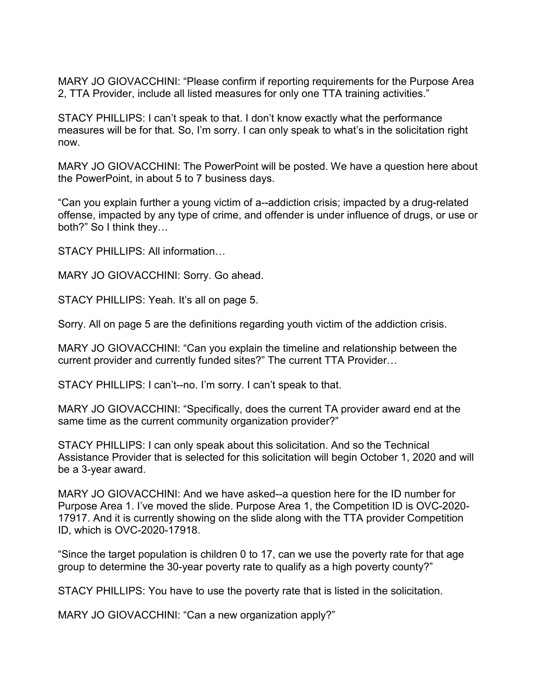MARY JO GIOVACCHINI: "Please confirm if reporting requirements for the Purpose Area 2, TTA Provider, include all listed measures for only one TTA training activities."

STACY PHILLIPS: I can't speak to that. I don't know exactly what the performance measures will be for that. So, I'm sorry. I can only speak to what's in the solicitation right now.

the PowerPoint, in about 5 to 7 business days. MARY JO GIOVACCHINI: The PowerPoint will be posted. We have a question here about

 both?" So I think they… "Can you explain further a young victim of a--addiction crisis; impacted by a drug-related offense, impacted by any type of crime, and offender is under influence of drugs, or use or

STACY PHILLIPS: All information…

MARY JO GIOVACCHINI: Sorry. Go ahead.

STACY PHILLIPS: Yeah. It's all on page 5.

Sorry. All on page 5 are the definitions regarding youth victim of the addiction crisis.

MARY JO GIOVACCHINI: "Can you explain the timeline and relationship between the current provider and currently funded sites?" The current TTA Provider…

STACY PHILLIPS: I can't--no. I'm sorry. I can't speak to that.

 MARY JO GIOVACCHINI: "Specifically, does the current TA provider award end at the same time as the current community organization provider?"

 Assistance Provider that is selected for this solicitation will begin October 1, 2020 and will be a 3-year award. STACY PHILLIPS: I can only speak about this solicitation. And so the Technical

MARY JO GIOVACCHINI: And we have asked--a question here for the ID number for Purpose Area 1. I've moved the slide. Purpose Area 1, the Competition ID is OVC-2020- 17917. And it is currently showing on the slide along with the TTA provider Competition ID, which is OVC-2020-17918.

"Since the target population is children 0 to 17, can we use the poverty rate for that age group to determine the 30-year poverty rate to qualify as a high poverty county?"

STACY PHILLIPS: You have to use the poverty rate that is listed in the solicitation.

MARY JO GIOVACCHINI: "Can a new organization apply?"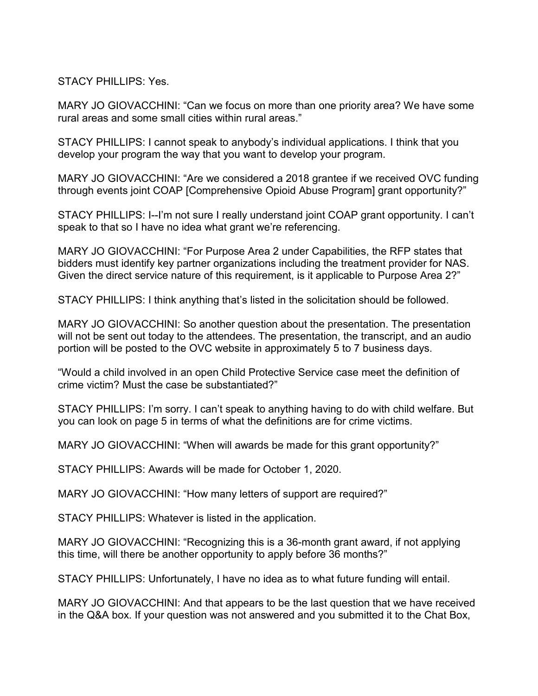STACY PHILLIPS: Yes.

 rural areas and some small cities within rural areas." MARY JO GIOVACCHINI: "Can we focus on more than one priority area? We have some

STACY PHILLIPS: I cannot speak to anybody's individual applications. I think that you develop your program the way that you want to develop your program.

 MARY JO GIOVACCHINI: "Are we considered a 2018 grantee if we received OVC funding through events joint COAP [Comprehensive Opioid Abuse Program] grant opportunity?"

 speak to that so I have no idea what grant we're referencing. STACY PHILLIPS: I--I'm not sure I really understand joint COAP grant opportunity. I can't

MARY JO GIOVACCHINI: "For Purpose Area 2 under Capabilities, the RFP states that bidders must identify key partner organizations including the treatment provider for NAS. Given the direct service nature of this requirement, is it applicable to Purpose Area 2?"

STACY PHILLIPS: I think anything that's listed in the solicitation should be followed.

 portion will be posted to the OVC website in approximately 5 to 7 business days. MARY JO GIOVACCHINI: So another question about the presentation. The presentation will not be sent out today to the attendees. The presentation, the transcript, and an audio

 crime victim? Must the case be substantiated?" "Would a child involved in an open Child Protective Service case meet the definition of

STACY PHILLIPS: I'm sorry. I can't speak to anything having to do with child welfare. But you can look on page 5 in terms of what the definitions are for crime victims.

MARY JO GIOVACCHINI: "When will awards be made for this grant opportunity?"

STACY PHILLIPS: Awards will be made for October 1, 2020.

MARY JO GIOVACCHINI: "How many letters of support are required?"

STACY PHILLIPS: Whatever is listed in the application.

MARY JO GIOVACCHINI: "Recognizing this is a 36-month grant award, if not applying this time, will there be another opportunity to apply before 36 months?"

STACY PHILLIPS: Unfortunately, I have no idea as to what future funding will entail.

MARY JO GIOVACCHINI: And that appears to be the last question that we have received in the Q&A box. If your question was not answered and you submitted it to the Chat Box,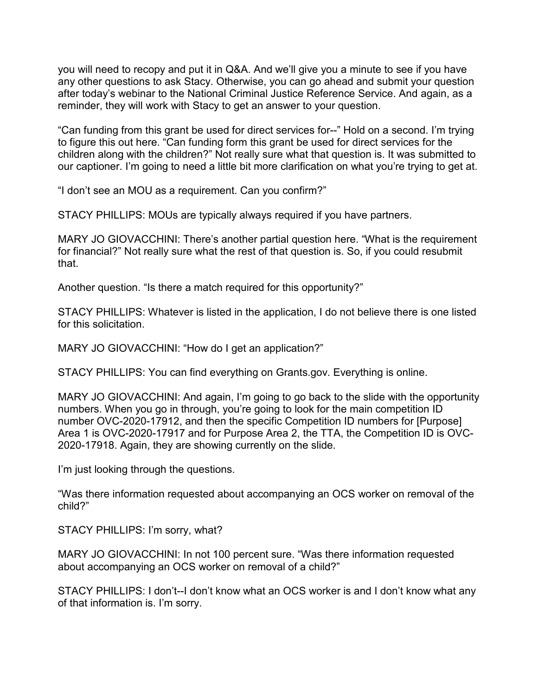you will need to recopy and put it in Q&A. And we'll give you a minute to see if you have any other questions to ask Stacy. Otherwise, you can go ahead and submit your question after today's webinar to the National Criminal Justice Reference Service. And again, as a reminder, they will work with Stacy to get an answer to your question.

 "Can funding from this grant be used for direct services for--" Hold on a second. I'm trying to figure this out here. "Can funding form this grant be used for direct services for the children along with the children?" Not really sure what that question is. It was submitted to our captioner. I'm going to need a little bit more clarification on what you're trying to get at.

"I don't see an MOU as a requirement. Can you confirm?"

STACY PHILLIPS: MOUs are typically always required if you have partners.

MARY JO GIOVACCHINI: There's another partial question here. "What is the requirement for financial?" Not really sure what the rest of that question is. So, if you could resubmit that.

Another question. "Is there a match required for this opportunity?"

 STACY PHILLIPS: Whatever is listed in the application, I do not believe there is one listed for this solicitation.

MARY JO GIOVACCHINI: "How do I get an application?"

STACY PHILLIPS: You can find everything on [Grants.gov.](https://Grants.gov) Everything is online.

 Area 1 is OVC-2020-17917 and for Purpose Area 2, the TTA, the Competition ID is OVC-MARY JO GIOVACCHINI: And again, I'm going to go back to the slide with the opportunity numbers. When you go in through, you're going to look for the main competition ID number OVC-2020-17912, and then the specific Competition ID numbers for [Purpose] 2020-17918. Again, they are showing currently on the slide.

I'm just looking through the questions.

 "Was there information requested about accompanying an OCS worker on removal of the child?"

STACY PHILLIPS: I'm sorry, what?

 MARY JO GIOVACCHINI: In not 100 percent sure. "Was there information requested about accompanying an OCS worker on removal of a child?"

 STACY PHILLIPS: I don't--I don't know what an OCS worker is and I don't know what any of that information is. I'm sorry.